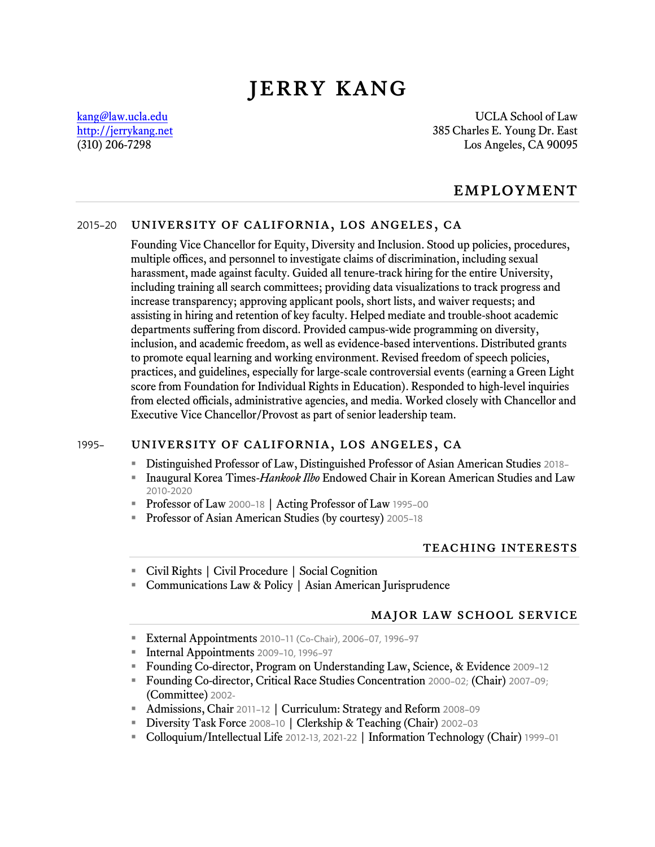# jerry kang

[kang@law.ucla.edu](mailto:kang@law.ucla.edu) UCLA School of Law [http://jerrykang.net](http://jerrykang.net/) 385 Charles E. Young Dr. East (310) 206-7298 Los Angeles, CA 90095

## **EMPLOYMENT**

#### 2015–20 university of california, los angeles, ca

Founding Vice Chancellor for Equity, Diversity and Inclusion. Stood up policies, procedures, multiple offices, and personnel to investigate claims of discrimination, including sexual harassment, made against faculty. Guided all tenure-track hiring for the entire University, including training all search committees; providing data visualizations to track progress and increase transparency; approving applicant pools, short lists, and waiver requests; and assisting in hiring and retention of key faculty. Helped mediate and trouble-shoot academic departments suffering from discord. Provided campus-wide programming on diversity, inclusion, and academic freedom, as well as evidence-based interventions. Distributed grants to promote equal learning and working environment. Revised freedom of speech policies, practices, and guidelines, especially for large-scale controversial events (earning a Green Light score from Foundation for Individual Rights in Education). Responded to high-level inquiries from elected officials, administrative agencies, and media. Worked closely with Chancellor and Executive Vice Chancellor/Provost as part of senior leadership team.

#### 1995– university of california, los angeles, ca

- Distinguished Professor of Law, Distinguished Professor of Asian American Studies 2018–
- Inaugural Korea Times-*Hankook Ilbo* Endowed Chair in Korean American Studies and Law 2010-2020
- **Professor of Law 2000-18 | Acting Professor of Law 1995-00**
- Professor of Asian American Studies (by courtesy) 2005-18

#### teaching interests

- Civil Rights | Civil Procedure | Social Cognition
- Communications Law & Policy | Asian American Jurisprudence

#### major law school service

- **External Appointments** 2010-11 (Co-Chair), 2006-07, 1996-97
- Internal Appointments 2009-10, 1996-97
- Founding Co-director, Program on Understanding Law, Science, & Evidence 2009–12
- Founding Co-director, Critical Race Studies Concentration 2000–02; (Chair) 2007–09; (Committee) 2002-
- Admissions, Chair 2011–12 | Curriculum: Strategy and Reform 2008–09
- **Diversity Task Force 2008-10 | Clerkship & Teaching (Chair) 2002-03**
- Colloquium/Intellectual Life 2012-13, 2021-22 | Information Technology (Chair) 1999–01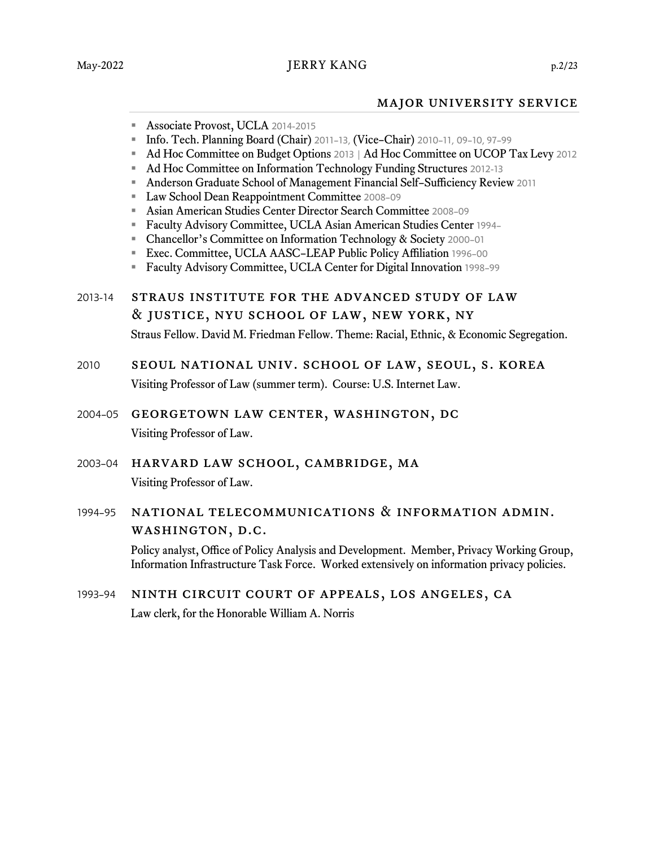#### major university service

- **Associate Provost, UCLA 2014-2015**
- Info. Tech. Planning Board (Chair) 2011–13, (Vice–Chair) 2010–11, 09–10, 97–99
- Ad Hoc Committee on Budget Options 2013 | Ad Hoc Committee on UCOP Tax Levy 2012
- Ad Hoc Committee on Information Technology Funding Structures 2012-13
- Anderson Graduate School of Management Financial Self-Sufficiency Review 2011
- **Law School Dean Reappointment Committee 2008-09**
- Asian American Studies Center Director Search Committee 2008–09
- Faculty Advisory Committee, UCLA Asian American Studies Center 1994–
- Chancellor's Committee on Information Technology & Society 2000-01
- Exec. Committee, UCLA AASC–LEAP Public Policy Affiliation 1996-00
- Faculty Advisory Committee, UCLA Center for Digital Innovation 1998–99
- 2013-14 straus institute for the advanced study of law & justice, nyu school of law, new york, ny Straus Fellow. David M. Friedman Fellow. Theme: Racial, Ethnic, & Economic Segregation.
- 2010 seoul national univ. school of law, seoul, s. korea Visiting Professor of Law (summer term). Course: U.S. Internet Law.
- 2004–05 georgetown law center, washington, dc Visiting Professor of Law.
- 2003–04 harvard law school, cambridge, ma Visiting Professor of Law.
- 1994–95 national telecommunications & information admin. washington, d.c.

Policy analyst, Office of Policy Analysis and Development. Member, Privacy Working Group, Information Infrastructure Task Force. Worked extensively on information privacy policies.

1993–94 ninth circuit court of appeals, los angeles, ca Law clerk, for the Honorable William A. Norris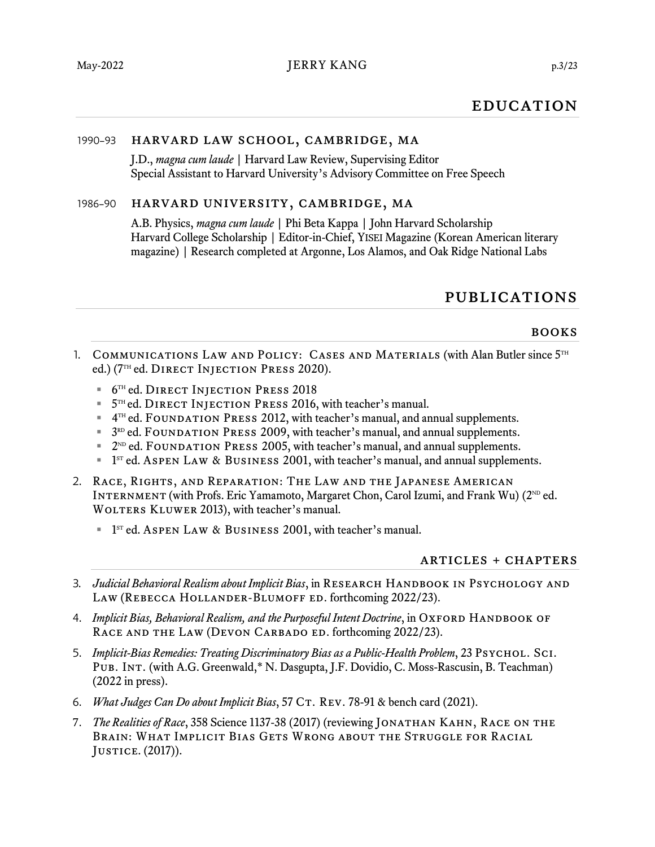## **EDUCATION**

## 1990–93 harvard law school, cambridge, ma

J.D., *magna cum laude* | Harvard Law Review, Supervising Editor Special Assistant to Harvard University's Advisory Committee on Free Speech

#### 1986–90 harvard university, cambridge, ma

A.B. Physics, *magna cum laude* | Phi Beta Kappa | John Harvard Scholarship Harvard College Scholarship | Editor-in-Chief, YISEI Magazine (Korean American literary magazine) | Research completed at Argonne, Los Alamos, and Oak Ridge National Labs

## publications

#### books

- 1. COMMUNICATIONS LAW AND POLICY: CASES AND MATERIALS (with Alan Butler since 5<sup>TH</sup> ed.) (7 TH ed. Direct Injection Press 2020).
	- **<sup>■</sup>**  $6^{TH}$  ed. DIRECT INJECTION PRESS 2018
	- $\blacksquare$  5<sup>TH</sup> ed. DIRECT INJECTION PRESS 2016, with teacher's manual.
	- 4<sup>TH</sup> ed. FOUNDATION PRESS 2012, with teacher's manual, and annual supplements.
	- $\blacksquare$  3<sup>RD</sup> ed. FOUNDATION PRESS 2009, with teacher's manual, and annual supplements.
	- $\blacksquare$  2<sup>ND</sup> ed. FOUNDATION PRESS 2005, with teacher's manual, and annual supplements.
	- $\blacksquare$  1<sup>sr</sup> ed. Aspen Law & Business 2001, with teacher's manual, and annual supplements.
- 2. Race, Rights, and Reparation: The Law and the Japanese American INTERNMENT (with Profs. Eric Yamamoto, Margaret Chon, Carol Izumi, and Frank Wu) ( $2^{\text{ND}}$  ed. WOLTERS KLUWER 2013), with teacher's manual.
	- $\blacksquare$  1<sup>sr</sup> ed. Aspen Law & Business 2001, with teacher's manual.

#### articles + chapters

- 3. *Judicial Behavioral Realism about Implicit Bias*, in RESEARCH HANDBOOK IN PSYCHOLOGY AND Law (Rebecca Hollander-Blumoff ed. forthcoming 2022/23).
- 4. *Implicit Bias, Behavioral Realism, and the Purposeful Intent Doctrine*, in OXFORD HANDBOOK OF RACE AND THE LAW (DEVON CARBADO ED. forthcoming 2022/23).
- 5. *Implicit-Bias Remedies: Treating Discriminatory Bias as a Public-Health Problem*, 23 Psychol. Sci. Pub. Int. (with A.G. Greenwald,\* N. Dasgupta, J.F. Dovidio, C. Moss-Rascusin, B. Teachman) (2022 in press).
- 6. *What Judges Can Do about Implicit Bias*, 57 CT. REV. 78-91 & bench card (2021).
- 7. *The Realities of Race*, 358 Science 1137-38 (2017) (reviewing JONATHAN KAHN, RACE ON THE Brain: What Implicit Bias Gets Wrong about the Struggle for Racial Justice. (2017)).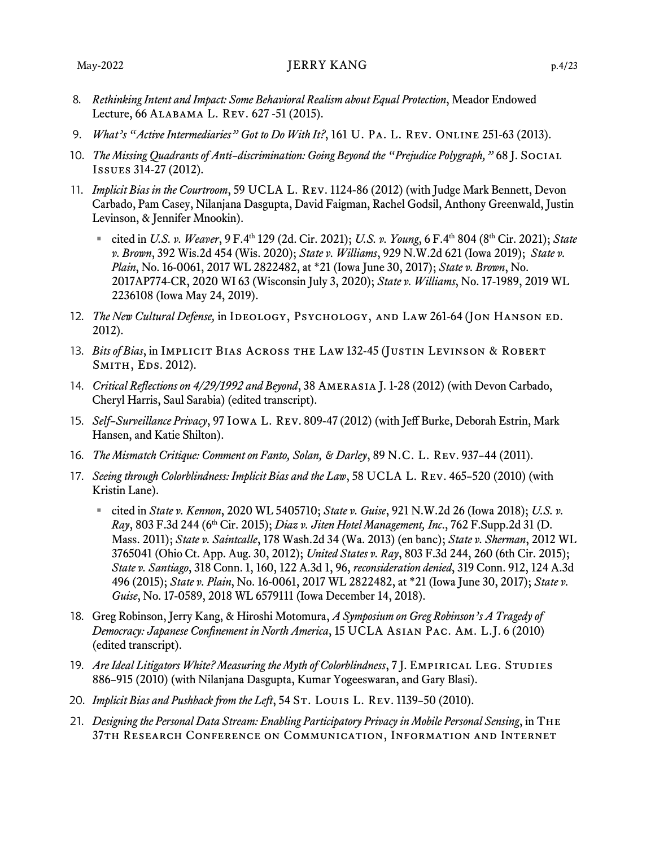- 8. *Rethinking Intent and Impact: Some Behavioral Realism about Equal Protection*, Meador Endowed Lecture, 66 Alabama L. Rev. 627 -51 (2015).
- 9. *What's "Active Intermediaries" Got to Do With It?*, 161 U. Pa. L. Rev. Online 251-63 (2013).
- 10. *The Missing Quadrants of Anti–discrimination: Going Beyond the "Prejudice Polygraph,"* 68 J. Social Issues 314-27 (2012).
- 11. *Implicit Bias in the Courtroom*, 59 UCLA L. Rev. 1124-86 (2012) (with Judge Mark Bennett, Devon Carbado, Pam Casey, Nilanjana Dasgupta, David Faigman, Rachel Godsil, Anthony Greenwald, Justin Levinson, & Jennifer Mnookin).
	- cited in *U.S. v. Weaver*, 9 F.4th 129 (2d. Cir. 2021); *U.S. v. Young*, 6 F.4th 804 (8th Cir. 2021); *State v. Brown*, 392 Wis.2d 454 (Wis. 2020); *State v. Williams*, 929 N.W.2d 621 (Iowa 2019); *State v. Plain*, No. 16-0061, 2017 WL 2822482, at \*21 (Iowa June 30, 2017); *State v. Brown*, No. 2017AP774-CR, 2020 WI 63 (Wisconsin July 3, 2020); *State v. Williams*, No. 17-1989, 2019 WL 2236108 (Iowa May 24, 2019).
- 12. *The New Cultural Defense,* in Ideology, Psychology, and Law 261-64 (Jon Hanson ed. 2012).
- 13. *Bits of Bias*, in IMPLICIT BIAS ACROSS THE LAW 132-45 (JUSTIN LEVINSON & ROBERT SMITH, EDS. 2012).
- 14. *Critical Reflections on 4/29/1992 and Beyond*, 38 Amerasia J. 1-28 (2012) (with Devon Carbado, Cheryl Harris, Saul Sarabia) (edited transcript).
- 15. *Self–Surveillance Privacy*, 97 Iowa L. Rev. 809-47 (2012) (with Jeff Burke, Deborah Estrin, Mark Hansen, and Katie Shilton).
- 16. *The Mismatch Critique: Comment on Fanto, Solan, & Darley*, 89 N.C. L. Rev. 937–44 (2011).
- 17. *Seeing through Colorblindness: Implicit Bias and the Law*, 58 UCLA L. Rev. 465–520 (2010) (with Kristin Lane).
	- cited in *State v. Kennon*, 2020 WL 5405710; *State v. Guise*, 921 N.W.2d 26 (Iowa 2018); *U.S. v. Ray*, 803 F.3d 244 (6th Cir. 2015); *Diaz v. Jiten Hotel Management, Inc*., 762 F.Supp.2d 31 (D. Mass. 2011); *State v. Saintcalle*, 178 Wash.2d 34 (Wa. 2013) (en banc); *State v. Sherman*, 2012 WL 3765041 (Ohio Ct. App. Aug. 30, 2012); *United States v. Ray*, 803 F.3d 244, 260 (6th Cir. 2015); *State v. Santiago*, 318 Conn. 1, 160, 122 A.3d 1, 96, *reconsideration denied*, 319 Conn. 912, 124 A.3d 496 (2015); *State v. Plain*, No. 16-0061, 2017 WL 2822482, at \*21 (Iowa June 30, 2017); *State v. Guise*, No. 17-0589, 2018 WL 6579111 (Iowa December 14, 2018).
- 18. Greg Robinson, Jerry Kang, & Hiroshi Motomura, *A Symposium on Greg Robinson's A Tragedy of Democracy: Japanese Confinement in North America*, 15 UCLA Asian Pac. Am. L.J. 6 (2010) (edited transcript).
- 19. *Are Ideal Litigators White? Measuring the Myth of Colorblindness*, 7J. EMPIRICAL LEG. STUDIES 886–915 (2010) (with Nilanjana Dasgupta, Kumar Yogeeswaran, and Gary Blasi).
- 20. *Implicit Bias and Pushback from the Left*, 54 ST. LOUIS L. REV. 1139-50 (2010).
- 21. *Designing the Personal Data Stream: Enabling Participatory Privacy in Mobile Personal Sensing*, in The 37th Research Conference on Communication, Information and Internet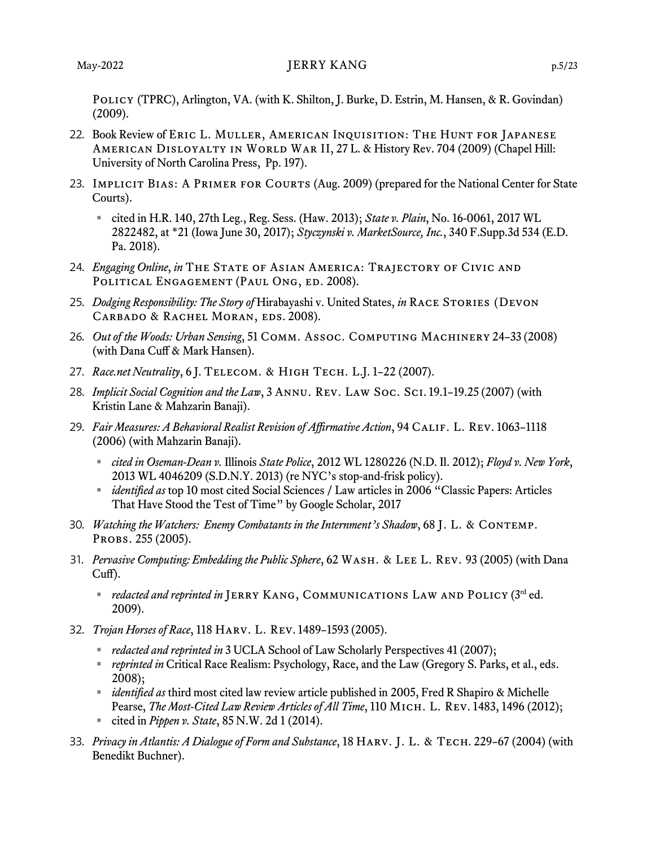#### May-2022 DERRY KANG p.5/23

POLICY (TPRC), Arlington, VA. (with K. Shilton, J. Burke, D. Estrin, M. Hansen, & R. Govindan) (2009).

- 22. Book Review of Eric L. Muller, American Inquisition: The Hunt for Japanese American Disloyalty in World War II, 27 L. & History Rev. 704 (2009) (Chapel Hill: University of North Carolina Press, Pp. 197).
- 23. IMPLICIT BIAS: A PRIMER FOR COURTS (Aug. 2009) (prepared for the National Center for State Courts).
	- cited in H.R. 140, 27th Leg., Reg. Sess. (Haw. 2013); *State v. Plain*, No. 16-0061, 2017 WL 2822482, at \*21 (Iowa June 30, 2017); *[Styczynski v. MarketSource, Inc.](https://advance.lexis.com/api/document?collection=cases&id=urn:contentItem:5TWB-5MK1-JSRM-64GS-00000-00&context=1521360)*, 340 F.Supp.3d 534 (E.D. Pa. 2018).
- 24. *Engaging Online*, *in* The State of Asian America: Trajectory of Civic and POLITICAL ENGAGEMENT (PAUL ONG, ED. 2008).
- 25. *Dodging Responsibility: The Story of* Hirabayashi v. United States, *in* Race Stories (Devon CARBADO & RACHEL MORAN, EDS. 2008).
- 26. *Out of the Woods: Urban Sensing*, 51 Comm. Assoc. Computing Machinery 24–33 (2008) (with Dana Cuff & Mark Hansen).
- 27. *Race.net Neutrality*, 6 J. Telecom. & High Tech. L.J. 1–22 (2007).
- 28. *Implicit Social Cognition and the Law*, 3 Annu. Rev. Law Soc. Sci. 19.1–19.25 (2007) (with Kristin Lane & Mahzarin Banaji).
- 29. *Fair Measures: A Behavioral Realist Revision of Affirmative Action*, 94 Calif. L. Rev. 1063–1118 (2006) (with Mahzarin Banaji).
	- *cited in Oseman-Dean v.* Illinois *State Police*, 2012 WL 1280226 (N.D. Il. 2012); *Floyd v. New York*, 2013 WL 4046209 (S.D.N.Y. 2013) (re NYC's stop-and-frisk policy).
	- *identified as* top 10 most cited Social Sciences / Law articles in 2006 "Classic Papers: Articles That Have Stood the Test of Time" by Google Scholar, 2017
- 30. *Watching the Watchers: Enemy Combatants in the Internment's Shadow*, 68 J. L. & Contemp. Probs. 255 (2005).
- 31. *Pervasive Computing: Embedding the Public Sphere*, 62 Wash. & Lee L. Rev. 93 (2005) (with Dana Cuff).
	- *redacted and reprinted in* JERRY KANG, COMMUNICATIONS LAW AND POLICY (3<sup>rd</sup> ed. 2009).
- 32. *Trojan Horses of Race*, 118 Harv. L. Rev. 1489–1593 (2005).
	- *redacted and reprinted in* 3 UCLA School of Law Scholarly Perspectives 41 (2007);
	- *reprinted in* Critical Race Realism: Psychology, Race, and the Law (Gregory S. Parks, et al., eds. 2008);
	- *identified as* third most cited law review article published in 2005, Fred R Shapiro & Michelle Pearse, *The Most-Cited Law Review Articles of All Time*, 110 MICH. L. REV. 1483, 1496 (2012);
	- cited in *Pippen v. State*, 85 N.W. 2d 1 (2014).
- 33. *Privacy in Atlantis: A Dialogue of Form and Substance*, 18 Harv. J. L. & Tech. 229–67 (2004) (with Benedikt Buchner).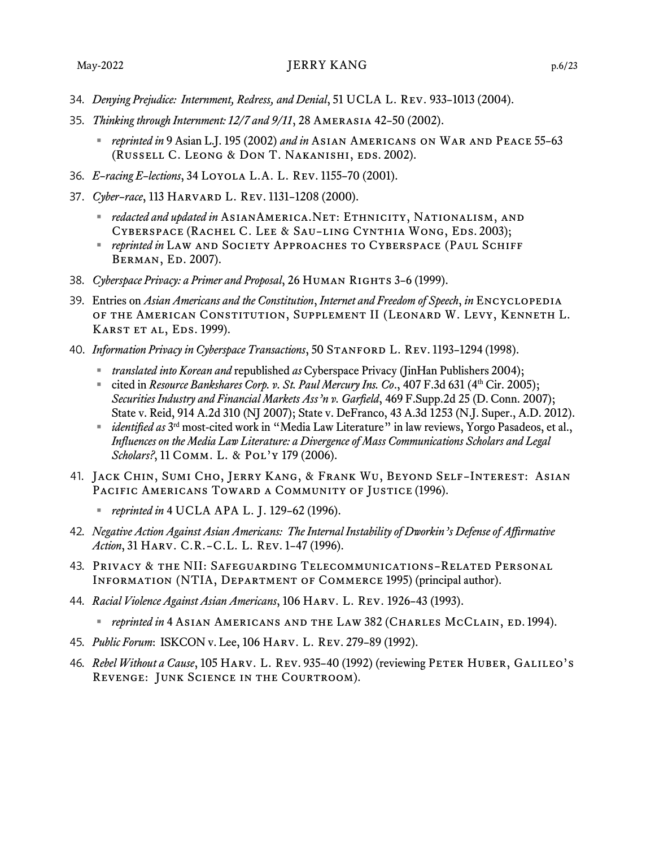- 34. *Denying Prejudice: Internment, Redress, and Denial*, 51 UCLA L. Rev. 933–1013 (2004).
- 35. *Thinking through Internment: 12/7 and 9/11*, 28 Amerasia 42–50 (2002).
	- *reprinted in* 9 Asian L.J. 195 (2002) *and in* Asian Americans on War and Peace 55–63 (Russell C. Leong & Don T. Nakanishi, eds. 2002).
- 36. *E–racing E–lections*, 34 Loyola L.A. L. Rev. 1155–70 (2001).
- 37. *Cyber–race*, 113 Harvard L. Rev. 1131–1208 (2000).
	- *redacted and updated in* ASIANAMERICA.NET: ETHNICITY, NATIONALISM, AND Cyberspace (Rachel C. Lee & Sau–ling Cynthia Wong, Eds. 2003);
	- *reprinted in* LAW AND SOCIETY APPROACHES TO CYBERSPACE (PAUL SCHIFF Berman, Ed. 2007).
- 38. *Cyberspace Privacy: a Primer and Proposal*, 26 Human Rights 3–6 (1999).
- 39. Entries on *Asian Americans and the Constitution*, *Internet and Freedom of Speech*, *in* Encyclopedia of the American Constitution, Supplement II (Leonard W. Levy, Kenneth L. KARST ET AL, EDS. 1999).
- 40. *Information Privacy in Cyberspace Transactions*, 50 STANFORD L. REV. 1193-1294 (1998).
	- *translated into Korean and* republished *as* Cyberspace Privacy (JinHan Publishers 2004);
	- cited in *Resource Bankshares Corp. v. St. Paul Mercury Ins. Co.*, 407 F.3d 631 (4<sup>th</sup> Cir. 2005); *Securities Industry and Financial Markets Ass'n v. Garfield*, 469 F.Supp.2d 25 (D. Conn. 2007); State v. Reid, 914 A.2d 310 (NJ 2007); State v. DeFranco, 43 A.3d 1253 (N.J. Super., A.D. 2012).
	- *identified as* 3 rd most-cited work in "Media Law Literature" in law reviews, Yorgo Pasadeos, et al., *Influences on the Media Law Literature: a Divergence of Mass Communications Scholars and Legal*  Scholars?, 11 COMM. L. & POL'Y 179 (2006).
- 41. Jack Chin, Sumi Cho, Jerry Kang, & Frank Wu, Beyond Self–Interest: Asian PACIFIC AMERICANS TOWARD A COMMUNITY OF JUSTICE (1996).
	- *reprinted in* 4 UCLA APA L. J. 129–62 (1996).
- 42. *Negative Action Against Asian Americans: The Internal Instability of Dworkin's Defense of Affirmative Action*, 31 Harv. C.R.–C.L. L. Rev. 1–47 (1996).
- 43. Privacy & the NII: Safeguarding Telecommunications–Related Personal Information (NTIA, Department of Commerce 1995) (principal author).
- 44. *Racial Violence Against Asian Americans*, 106 Harv. L. Rev. 1926–43 (1993).
	- *reprinted in* 4 Asian Americans and the Law 382 (Charles McClain, ed. 1994).
- 45. *Public Forum*: ISKCON v. Lee, 106 Harv. L. Rev. 279–89 (1992).
- 46. *Rebel Without a Cause*, 105 Harv. L. Rev. 935–40 (1992) (reviewing Peter Huber, Galileo's Revenge: Junk Science in the Courtroom).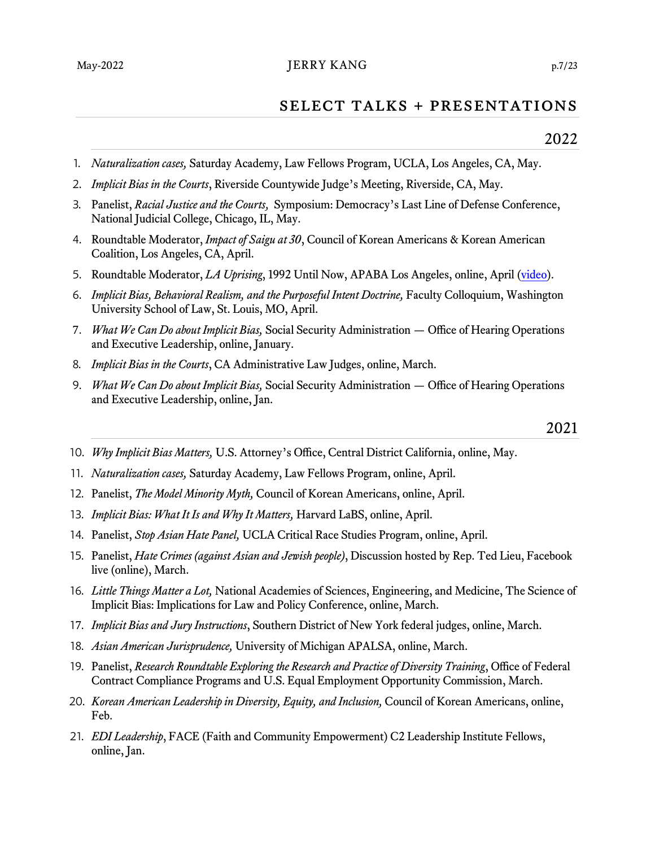#### May-2022 DERRY KANG p.7/23

## select talks + presentations

- . *Naturalization cases,* Saturday Academy, Law Fellows Program, UCLA, Los Angeles, CA, May.
- . *Implicit Bias in the Courts*, Riverside Countywide Judge's Meeting, Riverside, CA, May.
- . Panelist, *Racial Justice and the Courts,* Symposium: Democracy's Last Line of Defense Conference, National Judicial College, Chicago, IL, May.
- . Roundtable Moderator, *Impact of Saigu at 30*, Council of Korean Americans & Korean American Coalition, Los Angeles, CA, April.
- . Roundtable Moderator, *LA Uprising*, 1992 Until Now, APABA Los Angeles, online, April [\(video\)](https://www.youtube.com/watch?v=Dy022CblY3g).
- . *Implicit Bias, Behavioral Realism, and the Purposeful Intent Doctrine,* Faculty Colloquium, Washington University School of Law, St. Louis, MO, April.
- 7. *What We Can Do about Implicit Bias,* Social Security Administration Office of Hearing Operations and Executive Leadership, online, January.
- . *Implicit Bias in the Courts*, CA Administrative Law Judges, online, March.
- . *What We Can Do about Implicit Bias,* Social Security Administration Office of Hearing Operations and Executive Leadership, online, Jan.
- . *Why Implicit Bias Matters,* U.S. Attorney's Office, Central District California, online, May.
- . *Naturalization cases,* Saturday Academy, Law Fellows Program, online, April.
- . Panelist, *The Model Minority Myth,* Council of Korean Americans, online, April.
- . *Implicit Bias: What It Is and Why It Matters,* Harvard LaBS, online, April.
- . Panelist, *Stop Asian Hate Panel,* UCLA Critical Race Studies Program, online, April.
- . Panelist, *Hate Crimes (against Asian and Jewish people)*, Discussion hosted by Rep. Ted Lieu, Facebook live (online), March.
- . *Little Things Matter a Lot,* National Academies of Sciences, Engineering, and Medicine, The Science of Implicit Bias: Implications for Law and Policy Conference, online, March.
- 7. *Implicit Bias and Jury Instructions*, Southern District of New York federal judges, online, March.
- . *Asian American Jurisprudence,* University of Michigan APALSA, online, March.
- . Panelist, *Research Roundtable Exploring the Research and Practice of Diversity Training*, Office of Federal Contract Compliance Programs and U.S. Equal Employment Opportunity Commission, March.
- . *Korean American Leadership in Diversity, Equity, and Inclusion,* Council of Korean Americans, online, Feb.
- . *EDI Leadership*, FACE (Faith and Community Empowerment) C2 Leadership Institute Fellows, online, Jan.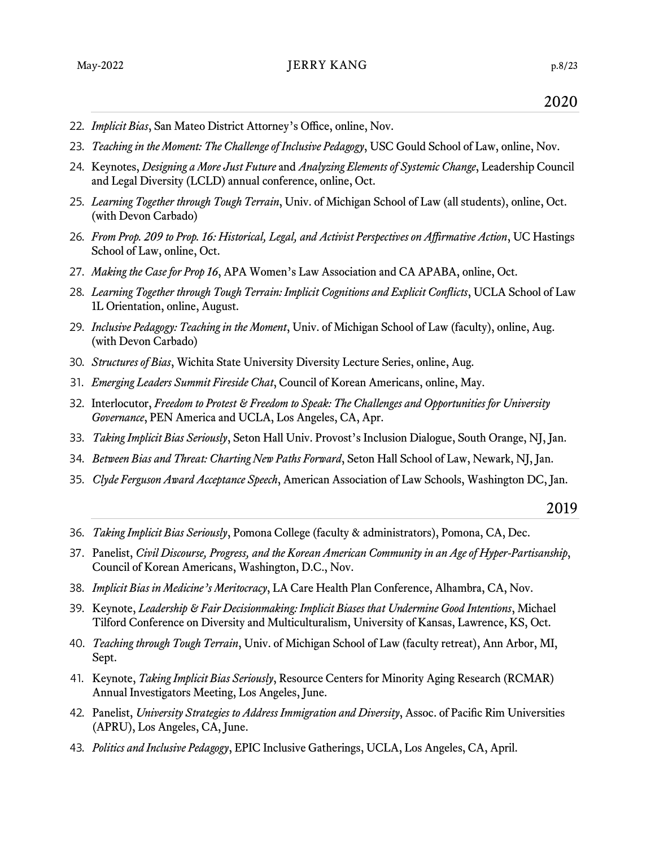- . *Implicit Bias*, San Mateo District Attorney's Office, online, Nov.
- . *Teaching in the Moment: The Challenge of Inclusive Pedagogy*, USC Gould School of Law, online, Nov.
- . Keynotes, *Designing a More Just Future* and *Analyzing Elements of Systemic Change*, Leadership Council and Legal Diversity (LCLD) annual conference, online, Oct.
- . *Learning Together through Tough Terrain*, Univ. of Michigan School of Law (all students), online, Oct. (with Devon Carbado)
- . *From Prop. 209 to Prop. 16: Historical, Legal, and Activist Perspectives on Affirmative Action*, UC Hastings School of Law, online, Oct.
- 7. *Making the Case for Prop 16*, APA Women's Law Association and CA APABA, online, Oct.
- . *Learning Together through Tough Terrain: Implicit Cognitions and Explicit Conflicts*, UCLA School of Law 1L Orientation, online, August.
- . *Inclusive Pedagogy: Teaching in the Moment*, Univ. of Michigan School of Law (faculty), online, Aug. (with Devon Carbado)
- . *Structures of Bias*, Wichita State University Diversity Lecture Series, online, Aug.
- . *Emerging Leaders Summit Fireside Chat*, Council of Korean Americans, online, May.
- . Interlocutor, *Freedom to Protest & Freedom to Speak: The Challenges and Opportunities for University Governance*, PEN America and UCLA, Los Angeles, CA, Apr.
- . *Taking Implicit Bias Seriously*, Seton Hall Univ. Provost's Inclusion Dialogue, South Orange, NJ, Jan.
- . *Between Bias and Threat: Charting New Paths Forward*, Seton Hall School of Law, Newark, NJ, Jan.
- . *Clyde Ferguson Award Acceptance Speech*, American Association of Law Schools, Washington DC, Jan.

- . *Taking Implicit Bias Seriously*, Pomona College (faculty & administrators), Pomona, CA, Dec.
- 7. Panelist, *Civil Discourse, Progress, and the Korean American Community in an Age of Hyper-Partisanship*, Council of Korean Americans, Washington, D.C., Nov.
- . *Implicit Bias in Medicine's Meritocracy*, LA Care Health Plan Conference, Alhambra, CA, Nov.
- . Keynote, *Leadership & Fair Decisionmaking: Implicit Biases that Undermine Good Intentions*, Michael Tilford Conference on Diversity and Multiculturalism, University of Kansas, Lawrence, KS, Oct.
- . *Teaching through Tough Terrain*, Univ. of Michigan School of Law (faculty retreat), Ann Arbor, MI, Sept.
- . Keynote, *Taking Implicit Bias Seriously*, Resource Centers for Minority Aging Research (RCMAR) Annual Investigators Meeting, Los Angeles, June.
- . Panelist, *University Strategies to Address Immigration and Diversity*, Assoc. of Pacific Rim Universities (APRU), Los Angeles, CA, June.
- . *Politics and Inclusive Pedagogy*, EPIC Inclusive Gatherings, UCLA, Los Angeles, CA, April.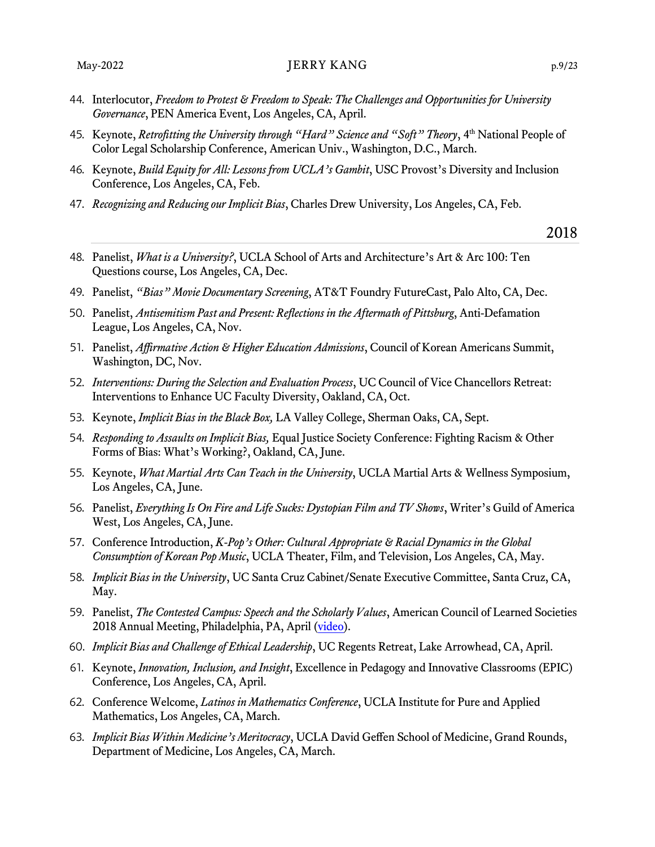- 44. Interlocutor, *Freedom to Protest & Freedom to Speak: The Challenges and Opportunities for University Governance*, PEN America Event, Los Angeles, CA, April.
- 45. Keynote, *Retrofitting the University through "Hard" Science and "Soft" Theory*, 4th National People of Color Legal Scholarship Conference, American Univ., Washington, D.C., March.
- 46. Keynote, *Build Equity for All: Lessons from UCLA's Gambit*, USC Provost's Diversity and Inclusion Conference, Los Angeles, CA, Feb.
- 47. *Recognizing and Reducing our Implicit Bias*, Charles Drew University, Los Angeles, CA, Feb.

- 48. Panelist, *What is a University?*, UCLA School of Arts and Architecture's Art & Arc 100: Ten Questions course, Los Angeles, CA, Dec.
- 49. Panelist, *"Bias" Movie Documentary Screening*, AT&T Foundry FutureCast, Palo Alto, CA, Dec.
- 50. Panelist, *Antisemitism Past and Present: Reflections in the Aftermath of Pittsburg*, Anti-Defamation League, Los Angeles, CA, Nov.
- 51. Panelist, *Affirmative Action & Higher Education Admissions*, Council of Korean Americans Summit, Washington, DC, Nov.
- 52. *Interventions: During the Selection and Evaluation Process*, UC Council of Vice Chancellors Retreat: Interventions to Enhance UC Faculty Diversity, Oakland, CA, Oct.
- 53. Keynote, *Implicit Bias in the Black Box,* LA Valley College, Sherman Oaks, CA, Sept.
- 54. *Responding to Assaults on Implicit Bias,* Equal Justice Society Conference: Fighting Racism & Other Forms of Bias: What's Working?, Oakland, CA, June.
- 55. Keynote, *What Martial Arts Can Teach in the University*, UCLA Martial Arts & Wellness Symposium, Los Angeles, CA, June.
- 56. Panelist, *Everything Is On Fire and Life Sucks: Dystopian Film and TV Shows*, Writer's Guild of America West, Los Angeles, CA, June.
- 57. Conference Introduction, *K-Pop's Other: Cultural Appropriate & Racial Dynamics in the Global Consumption of Korean Pop Music*, UCLA Theater, Film, and Television, Los Angeles, CA, May.
- 58. *Implicit Bias in the University*, UC Santa Cruz Cabinet/Senate Executive Committee, Santa Cruz, CA, May.
- 59. Panelist, *The Contested Campus: Speech and the Scholarly Values*, American Council of Learned Societies 2018 Annual Meeting, Philadelphia, PA, April [\(video\)](https://player.vimeo.com/video/271758778).
- 60. *Implicit Bias and Challenge of Ethical Leadership*, UC Regents Retreat, Lake Arrowhead, CA, April.
- 61. Keynote, *Innovation, Inclusion, and Insight*, Excellence in Pedagogy and Innovative Classrooms (EPIC) Conference, Los Angeles, CA, April.
- 62. Conference Welcome, *Latinos in Mathematics Conference*, UCLA Institute for Pure and Applied Mathematics, Los Angeles, CA, March.
- 63. *Implicit Bias Within Medicine's Meritocracy*, UCLA David Geffen School of Medicine, Grand Rounds, Department of Medicine, Los Angeles, CA, March.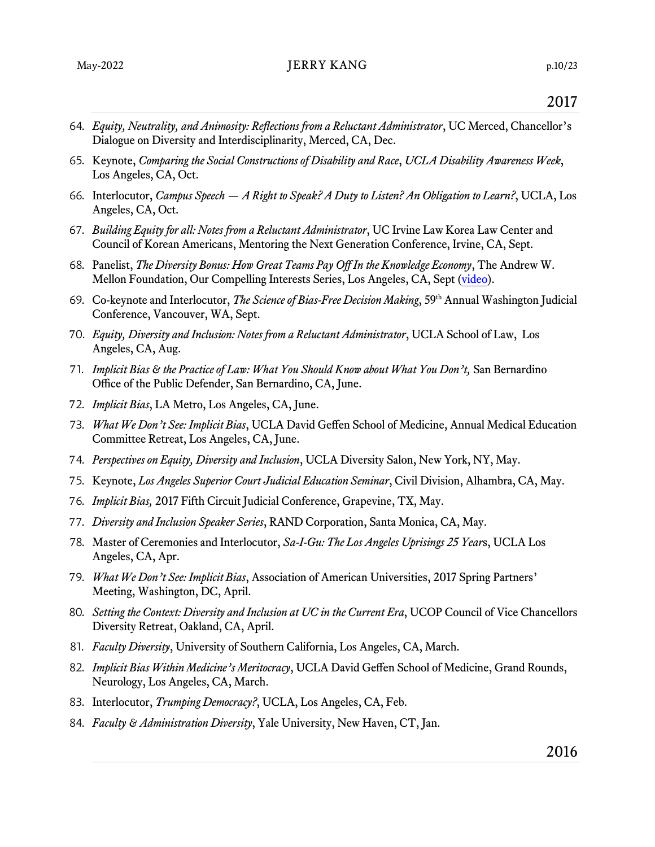- 64. *Equity, Neutrality, and Animosity: Reflections from a Reluctant Administrator*, UC Merced, Chancellor's Dialogue on Diversity and Interdisciplinarity, Merced, CA, Dec.
- 65. Keynote, *Comparing the Social Constructions of Disability and Race*, *UCLA Disability Awareness Week*, Los Angeles, CA, Oct.
- 66. Interlocutor, *Campus Speech — A Right to Speak? A Duty to Listen? An Obligation to Learn?*, UCLA, Los Angeles, CA, Oct.
- 67. *Building Equity for all: Notes from a Reluctant Administrator*, UC Irvine Law Korea Law Center and Council of Korean Americans, Mentoring the Next Generation Conference, Irvine, CA, Sept.
- 68. Panelist, *The Diversity Bonus: How Great Teams Pay Off In the Knowledge Economy*, The Andrew W. Mellon Foundation, Our Compelling Interests Series, Los Angeles, CA, Sept [\(video\)](https://www.youtube.com/watch?v=3GsZLACZi3M).
- 69. Co-keynote and Interlocutor, *The Science of Bias-Free Decision Making*, 59th Annual Washington Judicial Conference, Vancouver, WA, Sept.
- 70. *Equity, Diversity and Inclusion: Notes from a Reluctant Administrator*, UCLA School of Law, Los Angeles, CA, Aug.
- 71. *Implicit Bias & the Practice of Law: What You Should Know about What You Don't,* San Bernardino Office of the Public Defender, San Bernardino, CA, June.
- 72. *Implicit Bias*, LA Metro, Los Angeles, CA, June.
- 73. *What We Don't See: Implicit Bias*, UCLA David Geffen School of Medicine, Annual Medical Education Committee Retreat, Los Angeles, CA, June.
- 74. *Perspectives on Equity, Diversity and Inclusion*, UCLA Diversity Salon, New York, NY, May.
- 75. Keynote, *Los Angeles Superior Court Judicial Education Seminar*, Civil Division, Alhambra, CA, May.
- 76. *Implicit Bias,* 2017 Fifth Circuit Judicial Conference, Grapevine, TX, May.
- 77. *Diversity and Inclusion Speaker Series*, RAND Corporation, Santa Monica, CA, May.
- 78. Master of Ceremonies and Interlocutor, *Sa-I-Gu: The Los Angeles Uprisings 25 Year*s, UCLA Los Angeles, CA, Apr.
- 79. *What We Don't See: Implicit Bias*, Association of American Universities, 2017 Spring Partners' Meeting, Washington, DC, April.
- 80. *Setting the Context: Diversity and Inclusion at UC in the Current Era*, UCOP Council of Vice Chancellors Diversity Retreat, Oakland, CA, April.
- 81. *Faculty Diversity*, University of Southern California, Los Angeles, CA, March.
- 82. *Implicit Bias Within Medicine's Meritocracy*, UCLA David Geffen School of Medicine, Grand Rounds, Neurology, Los Angeles, CA, March.
- 83. Interlocutor, *Trumping Democracy?*, UCLA, Los Angeles, CA, Feb.
- 84. *Faculty & Administration Diversity*, Yale University, New Haven, CT, Jan.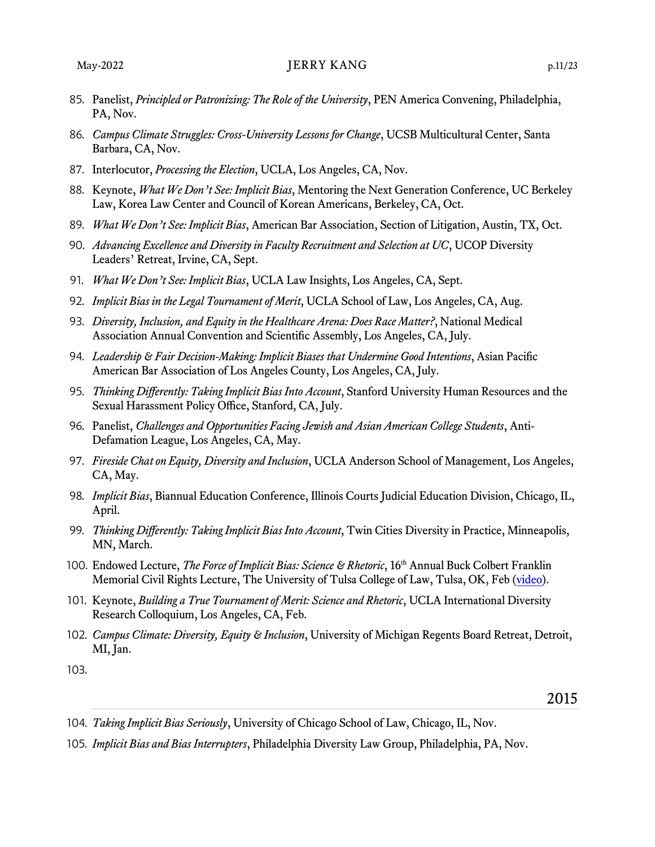#### May-2022 JERRY KANG p.11/23

- 85. Panelist, *Principled or Patronizing: The Role of the University*, PEN America Convening, Philadelphia, PA, Nov.
- 86. *Campus Climate Struggles: Cross-University Lessons for Change*, UCSB Multicultural Center, Santa Barbara, CA, Nov.
- 87. Interlocutor, *Processing the Election*, UCLA, Los Angeles, CA, Nov.
- 88. Keynote, *What We Don't See: Implicit Bias*, Mentoring the Next Generation Conference, UC Berkeley Law, Korea Law Center and Council of Korean Americans, Berkeley, CA, Oct.
- 89. *What We Don't See: Implicit Bias*, American Bar Association, Section of Litigation, Austin, TX, Oct.
- 90. *Advancing Excellence and Diversity in Faculty Recruitment and Selection at UC*, UCOP Diversity Leaders' Retreat, Irvine, CA, Sept.
- 91. *What We Don't See: Implicit Bias*, UCLA Law Insights, Los Angeles, CA, Sept.
- 92. *Implicit Bias in the Legal Tournament of Merit*, UCLA School of Law, Los Angeles, CA, Aug.
- 93. *Diversity, Inclusion, and Equity in the Healthcare Arena: Does Race Matter?*, National Medical Association Annual Convention and Scientific Assembly, Los Angeles, CA, July.
- 94. *Leadership & Fair Decision-Making: Implicit Biases that Undermine Good Intentions*, Asian Pacific American Bar Association of Los Angeles County, Los Angeles, CA, July.
- 95. *Thinking Differently: Taking Implicit Bias Into Account*, Stanford University Human Resources and the Sexual Harassment Policy Office, Stanford, CA, July.
- 96. Panelist, *Challenges and Opportunities Facing Jewish and Asian American College Students*, Anti-Defamation League, Los Angeles, CA, May.
- 97. *Fireside Chat on Equity, Diversity and Inclusion*, UCLA Anderson School of Management, Los Angeles, CA, May.
- 98. *Implicit Bias*, Biannual Education Conference, Illinois Courts Judicial Education Division, Chicago, IL, April.
- 99. *Thinking Differently: Taking Implicit Bias Into Account*, Twin Cities Diversity in Practice, Minneapolis, MN, March.
- 100. Endowed Lecture, *The Force of Implicit Bias: Science & Rhetoric*, 16th Annual Buck Colbert Franklin Memorial Civil Rights Lecture, The University of Tulsa College of Law, Tulsa, OK, Feb [\(video\)](https://youtu.be/konasO9bKR8).
- 101. Keynote, *Building a True Tournament of Merit: Science and Rhetoric*, UCLA International Diversity Research Colloquium, Los Angeles, CA, Feb.
- 102. *Campus Climate: Diversity, Equity & Inclusion*, University of Michigan Regents Board Retreat, Detroit, MI, Jan.
- 103.

- 104. *Taking Implicit Bias Seriously*, University of Chicago School of Law, Chicago, IL, Nov.
- 105. *Implicit Bias and Bias Interrupters*, Philadelphia Diversity Law Group, Philadelphia, PA, Nov.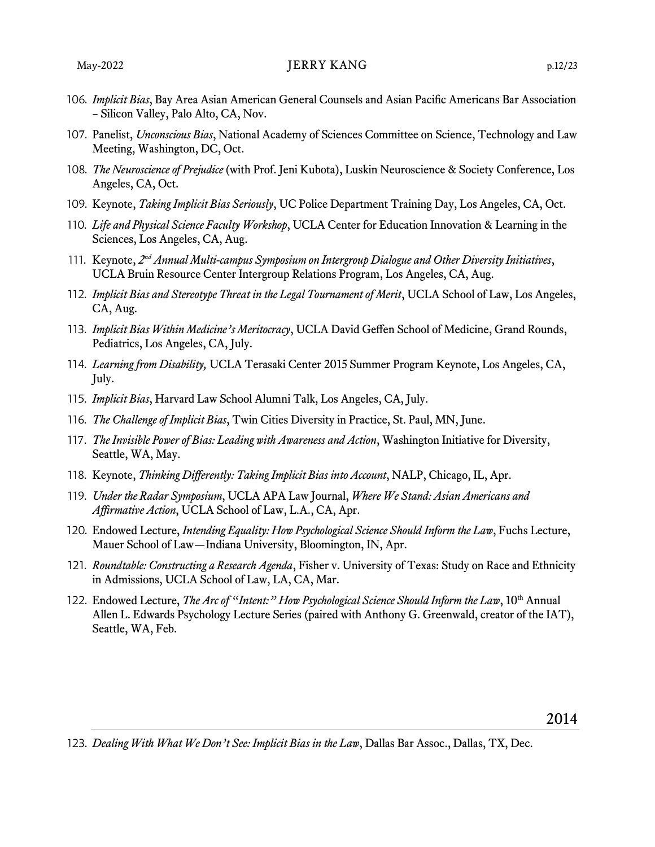- 106. *Implicit Bias*, Bay Area Asian American General Counsels and Asian Pacific Americans Bar Association – Silicon Valley, Palo Alto, CA, Nov.
- 107. Panelist, *Unconscious Bias*, National Academy of Sciences Committee on Science, Technology and Law Meeting, Washington, DC, Oct.
- 108. *The Neuroscience of Prejudice* (with Prof. Jeni Kubota), Luskin Neuroscience & Society Conference, Los Angeles, CA, Oct.
- 109. Keynote, *Taking Implicit Bias Seriously*, UC Police Department Training Day, Los Angeles, CA, Oct.
- 110. *Life and Physical Science Faculty Workshop*, UCLA Center for Education Innovation & Learning in the Sciences, Los Angeles, CA, Aug.
- 111. Keynote, 2<sup>nd</sup> Annual Multi-campus Symposium on Intergroup Dialogue and Other Diversity Initiatives, UCLA Bruin Resource Center Intergroup Relations Program, Los Angeles, CA, Aug.
- 112. *Implicit Bias and Stereotype Threat in the Legal Tournament of Merit*, UCLA School of Law, Los Angeles, CA, Aug.
- 113. *Implicit Bias Within Medicine's Meritocracy*, UCLA David Geffen School of Medicine, Grand Rounds, Pediatrics, Los Angeles, CA, July.
- 114. *Learning from Disability,* UCLA Terasaki Center 2015 Summer Program Keynote, Los Angeles, CA, July.
- 115. *Implicit Bias*, Harvard Law School Alumni Talk, Los Angeles, CA, July.
- 116. *The Challenge of Implicit Bias*, Twin Cities Diversity in Practice, St. Paul, MN, June.
- 117. *The Invisible Power of Bias: Leading with Awareness and Action*, Washington Initiative for Diversity, Seattle, WA, May.
- 118. Keynote, *Thinking Differently: Taking Implicit Bias into Account*, NALP, Chicago, IL, Apr.
- 119. *Under the Radar Symposium*, UCLA APA Law Journal, *Where We Stand: Asian Americans and Affirmative Action*, UCLA School of Law, L.A., CA, Apr.
- 120. Endowed Lecture, *Intending Equality: How Psychological Science Should Inform the Law*, Fuchs Lecture, Mauer School of Law—Indiana University, Bloomington, IN, Apr.
- 121. *Roundtable: Constructing a Research Agenda*, Fisher v. University of Texas: Study on Race and Ethnicity in Admissions, UCLA School of Law, LA, CA, Mar.
- 122. Endowed Lecture, *The Arc of "Intent:" How Psychological Science Should Inform the Law*, 10<sup>th</sup> Annual Allen L. Edwards Psychology Lecture Series (paired with Anthony G. Greenwald, creator of the IAT), Seattle, WA, Feb.

123. *Dealing With What We Don't See: Implicit Bias in the Law*, Dallas Bar Assoc., Dallas, TX, Dec.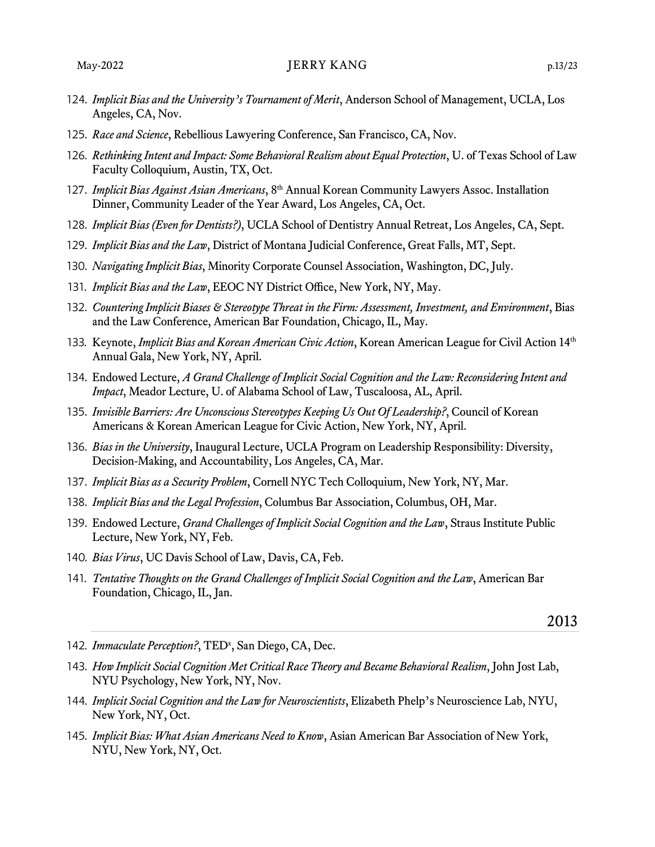- 124. *Implicit Bias and the University's Tournament of Merit*, Anderson School of Management, UCLA, Los Angeles, CA, Nov.
- 125. *Race and Science*, Rebellious Lawyering Conference, San Francisco, CA, Nov.
- 126. *Rethinking Intent and Impact: Some Behavioral Realism about Equal Protection*, U. of Texas School of Law Faculty Colloquium, Austin, TX, Oct.
- 127. *Implicit Bias Against Asian Americans*, 8th Annual Korean Community Lawyers Assoc. Installation Dinner, Community Leader of the Year Award, Los Angeles, CA, Oct.
- 128. *Implicit Bias (Even for Dentists?)*, UCLA School of Dentistry Annual Retreat, Los Angeles, CA, Sept.
- 129. *Implicit Bias and the Law*, District of Montana Judicial Conference, Great Falls, MT, Sept.
- 130. *Navigating Implicit Bias*, Minority Corporate Counsel Association, Washington, DC, July.
- 131. *Implicit Bias and the Law*, EEOC NY District Office, New York, NY, May.
- 132. *Countering Implicit Biases & Stereotype Threat in the Firm: Assessment, Investment, and Environment*, Bias and the Law Conference, American Bar Foundation, Chicago, IL, May.
- 133. Keynote, *Implicit Bias and Korean American Civic Action*, Korean American League for Civil Action 14th Annual Gala, New York, NY, April.
- 134. Endowed Lecture, *A Grand Challenge of Implicit Social Cognition and the Law: Reconsidering Intent and Impact*, Meador Lecture, U. of Alabama School of Law, Tuscaloosa, AL, April.
- 135. *Invisible Barriers: Are Unconscious Stereotypes Keeping Us Out Of Leadership?*, Council of Korean Americans & Korean American League for Civic Action, New York, NY, April.
- 136. *Bias in the University*, Inaugural Lecture, UCLA Program on Leadership Responsibility: Diversity, Decision-Making, and Accountability, Los Angeles, CA, Mar.
- 137. *Implicit Bias as a Security Problem*, Cornell NYC Tech Colloquium, New York, NY, Mar.
- 138. *Implicit Bias and the Legal Profession*, Columbus Bar Association, Columbus, OH, Mar.
- 139. Endowed Lecture, *Grand Challenges of Implicit Social Cognition and the Law*, Straus Institute Public Lecture, New York, NY, Feb.
- 140. *Bias Virus*, UC Davis School of Law, Davis, CA, Feb.
- 141. *Tentative Thoughts on the Grand Challenges of Implicit Social Cognition and the Law*, American Bar Foundation, Chicago, IL, Jan.

- 142. Immaculate Perception?, TED<sup>x</sup>, San Diego, CA, Dec.
- 143. *How Implicit Social Cognition Met Critical Race Theory and Became Behavioral Realism*, John Jost Lab, NYU Psychology, New York, NY, Nov.
- 144. *Implicit Social Cognition and the Law for Neuroscientists*, Elizabeth Phelp's Neuroscience Lab, NYU, New York, NY, Oct.
- 145. *Implicit Bias: What Asian Americans Need to Know*, Asian American Bar Association of New York, NYU, New York, NY, Oct.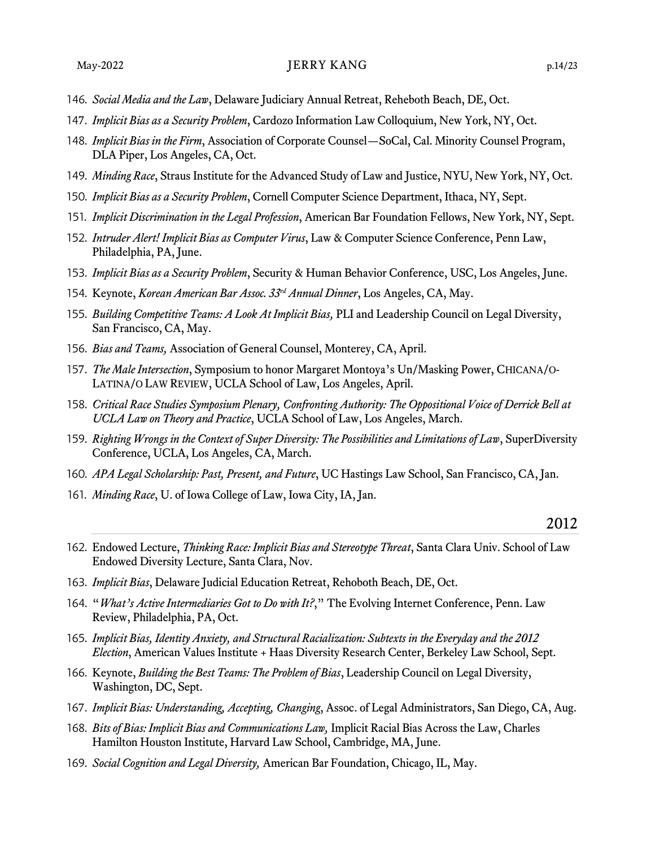#### May-2022 JERRY KANG p.14/23

- . *Social Media and the Law*, Delaware Judiciary Annual Retreat, Reheboth Beach, DE, Oct.
- 7. *Implicit Bias as a Security Problem*, Cardozo Information Law Colloquium, New York, NY, Oct.
- . *Implicit Bias in the Firm*, Association of Corporate Counsel—SoCal, Cal. Minority Counsel Program, DLA Piper, Los Angeles, CA, Oct.
- . *Minding Race*, Straus Institute for the Advanced Study of Law and Justice, NYU, New York, NY, Oct.
- . *Implicit Bias as a Security Problem*, Cornell Computer Science Department, Ithaca, NY, Sept.
- . *Implicit Discrimination in the Legal Profession*, American Bar Foundation Fellows, New York, NY, Sept.
- . *Intruder Alert! Implicit Bias as Computer Virus*, Law & Computer Science Conference, Penn Law, Philadelphia, PA, June.
- . *Implicit Bias as a Security Problem*, Security & Human Behavior Conference, USC, Los Angeles, June.
- . Keynote, *Korean American Bar Assoc. 33rd Annual Dinner*, Los Angeles, CA, May.
- . *Building Competitive Teams: A Look At Implicit Bias,* PLI and Leadership Council on Legal Diversity, San Francisco, CA, May.
- . *Bias and Teams,* Association of General Counsel, Monterey, CA, April.
- 7. *The Male Intersection*, Symposium to honor Margaret Montoya's Un/Masking Power, CHICANA/O-LATINA/O LAW REVIEW, UCLA School of Law, Los Angeles, April.
- . *Critical Race Studies Symposium Plenary, Confronting Authority: The Oppositional Voice of Derrick Bell at UCLA Law on Theory and Practice*, UCLA School of Law, Los Angeles, March.
- . *Righting Wrongs in the Context of Super Diversity: The Possibilities and Limitations of Law*, SuperDiversity Conference, UCLA, Los Angeles, CA, March.
- . *APA Legal Scholarship: Past, Present, and Future*, UC Hastings Law School, San Francisco, CA, Jan.
- . *Minding Race*, U. of Iowa College of Law, Iowa City, IA, Jan.

- . Endowed Lecture, *Thinking Race: Implicit Bias and Stereotype Threat*, Santa Clara Univ. School of Law Endowed Diversity Lecture, Santa Clara, Nov.
- . *Implicit Bias*, Delaware Judicial Education Retreat, Rehoboth Beach, DE, Oct.
- . "*What's Active Intermediaries Got to Do with It?*," The Evolving Internet Conference, Penn. Law Review, Philadelphia, PA, Oct.
- . *Implicit Bias, Identity Anxiety, and Structural Racialization: Subtexts in the Everyday and the 2012 Election*, American Values Institute + Haas Diversity Research Center, Berkeley Law School, Sept.
- . Keynote, *Building the Best Teams: The Problem of Bias*, Leadership Council on Legal Diversity, Washington, DC, Sept.
- 7. *Implicit Bias: Understanding, Accepting, Changing*, Assoc. of Legal Administrators, San Diego, CA, Aug.
- . *Bits of Bias: Implicit Bias and Communications Law,* Implicit Racial Bias Across the Law, Charles Hamilton Houston Institute, Harvard Law School, Cambridge, MA, June.
- . *Social Cognition and Legal Diversity,* American Bar Foundation, Chicago, IL, May.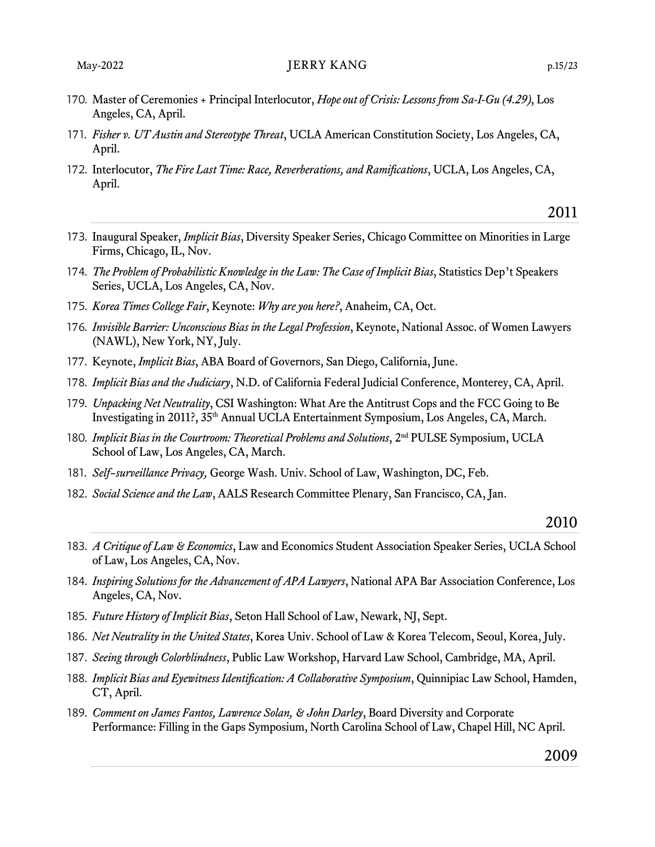- 70. Master of Ceremonies + Principal Interlocutor, *Hope out of Crisis: Lessons from Sa-I-Gu (4.29)*, Los Angeles, CA, April.
- 71. *Fisher v. UT Austin and Stereotype Threat*, UCLA American Constitution Society, Los Angeles, CA, April.
- 72. Interlocutor, *The Fire Last Time: Race, Reverberations, and Ramifications*, UCLA, Los Angeles, CA, April.

- 73. Inaugural Speaker, *Implicit Bias*, Diversity Speaker Series, Chicago Committee on Minorities in Large Firms, Chicago, IL, Nov.
- 74. *The Problem of Probabilistic Knowledge in the Law: The Case of Implicit Bias*, Statistics Dep't Speakers Series, UCLA, Los Angeles, CA, Nov.
- 75. *Korea Times College Fair*, Keynote: *Why are you here?*, Anaheim, CA, Oct.
- 76. *Invisible Barrier: Unconscious Bias in the Legal Profession*, Keynote, National Assoc. of Women Lawyers (NAWL), New York, NY, July.
- 77. Keynote, *Implicit Bias*, ABA Board of Governors, San Diego, California, June.
- 78. *Implicit Bias and the Judiciary*, N.D. of California Federal Judicial Conference, Monterey, CA, April.
- 79. *Unpacking Net Neutrality*, CSI Washington: What Are the Antitrust Cops and the FCC Going to Be Investigating in 2011?, 35th Annual UCLA Entertainment Symposium, Los Angeles, CA, March.
- . *Implicit Bias in the Courtroom: Theoretical Problems and Solutions*, 2nd PULSE Symposium, UCLA School of Law, Los Angeles, CA, March.
- . *Self–surveillance Privacy,* George Wash. Univ. School of Law, Washington, DC, Feb.
- . *Social Science and the Law*, AALS Research Committee Plenary, San Francisco, CA, Jan.

- . *A Critique of Law & Economics*, Law and Economics Student Association Speaker Series, UCLA School of Law, Los Angeles, CA, Nov.
- . *Inspiring Solutions for the Advancement of APA Lawyers*, National APA Bar Association Conference, Los Angeles, CA, Nov.
- . *Future History of Implicit Bias*, Seton Hall School of Law, Newark, NJ, Sept.
- . *Net Neutrality in the United States*, Korea Univ. School of Law & Korea Telecom, Seoul, Korea, July.
- 7. *Seeing through Colorblindness*, Public Law Workshop, Harvard Law School, Cambridge, MA, April.
- . *Implicit Bias and Eyewitness Identification: A Collaborative Symposium*, Quinnipiac Law School, Hamden, CT, April.
- . *Comment on James Fantos, Lawrence Solan, & John Darley*, Board Diversity and Corporate Performance: Filling in the Gaps Symposium, North Carolina School of Law, Chapel Hill, NC April.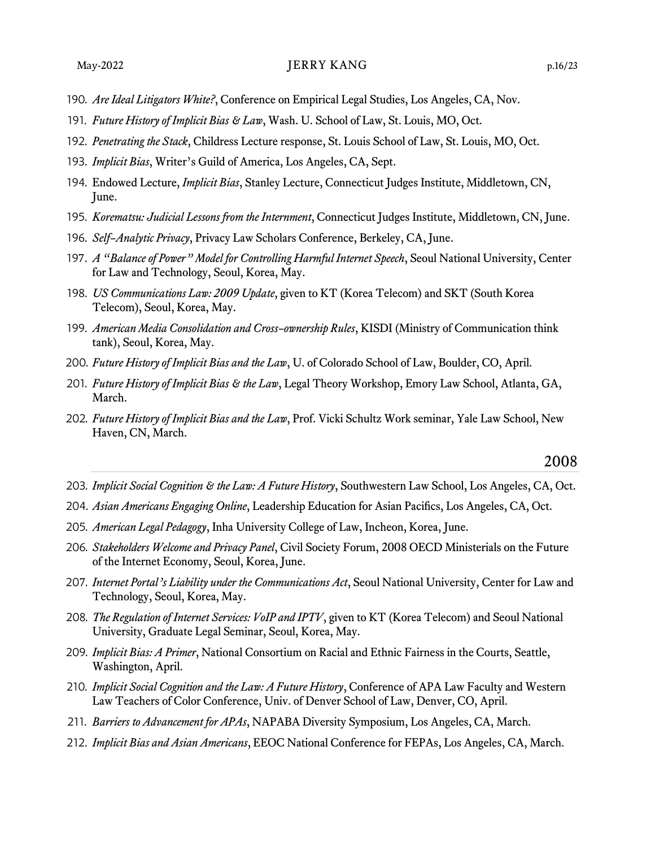- . *Are Ideal Litigators White?*, Conference on Empirical Legal Studies, Los Angeles, CA, Nov.
- . *Future History of Implicit Bias & Law*, Wash. U. School of Law, St. Louis, MO, Oct.
- . *Penetrating the Stack*, Childress Lecture response, St. Louis School of Law, St. Louis, MO, Oct.
- . *Implicit Bias*, Writer's Guild of America, Los Angeles, CA, Sept.
- . Endowed Lecture, *Implicit Bias*, Stanley Lecture, Connecticut Judges Institute, Middletown, CN, June.
- . *Korematsu: Judicial Lessons from the Internment*, Connecticut Judges Institute, Middletown, CN, June.
- . *Self–Analytic Privacy*, Privacy Law Scholars Conference, Berkeley, CA, June.
- 7. *A "Balance of Power" Model for Controlling Harmful Internet Speech*, Seoul National University, Center for Law and Technology, Seoul, Korea, May.
- . *US Communications Law: 2009 Update*, given to KT (Korea Telecom) and SKT (South Korea Telecom), Seoul, Korea, May.
- . *American Media Consolidation and Cross–ownership Rules*, KISDI (Ministry of Communication think tank), Seoul, Korea, May.
- . *Future History of Implicit Bias and the Law*, U. of Colorado School of Law, Boulder, CO, April.
- . *Future History of Implicit Bias & the Law*, Legal Theory Workshop, Emory Law School, Atlanta, GA, March.
- . *Future History of Implicit Bias and the Law*, Prof. Vicki Schultz Work seminar, Yale Law School, New Haven, CN, March.

- . *Implicit Social Cognition & the Law: A Future History*, Southwestern Law School, Los Angeles, CA, Oct.
- . *Asian Americans Engaging Online*, Leadership Education for Asian Pacifics, Los Angeles, CA, Oct.
- . *American Legal Pedagogy*, Inha University College of Law, Incheon, Korea, June.
- . *Stakeholders Welcome and Privacy Panel*, Civil Society Forum, 2008 OECD Ministerials on the Future of the Internet Economy, Seoul, Korea, June.
- 7. *Internet Portal's Liability under the Communications Act*, Seoul National University, Center for Law and Technology, Seoul, Korea, May.
- . *The Regulation of Internet Services: VoIP and IPTV*, given to KT (Korea Telecom) and Seoul National University, Graduate Legal Seminar, Seoul, Korea, May.
- . *Implicit Bias: A Primer*, National Consortium on Racial and Ethnic Fairness in the Courts, Seattle, Washington, April.
- . *Implicit Social Cognition and the Law: A Future History*, Conference of APA Law Faculty and Western Law Teachers of Color Conference, Univ. of Denver School of Law, Denver, CO, April.
- . *Barriers to Advancement for APAs*, NAPABA Diversity Symposium, Los Angeles, CA, March.
- . *Implicit Bias and Asian Americans*, EEOC National Conference for FEPAs, Los Angeles, CA, March.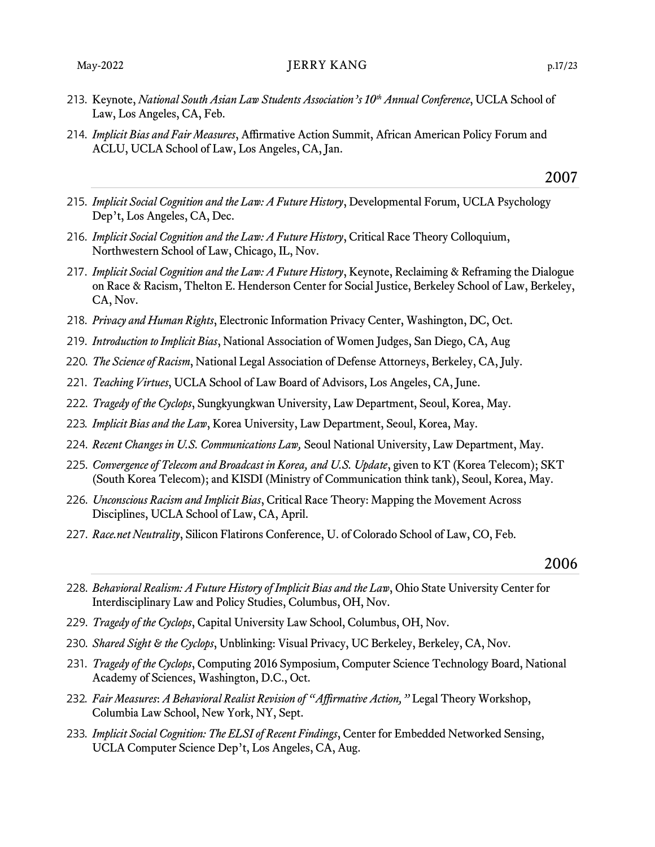- . Keynote, *National South Asian Law Students Association's 10th Annual Conference*, UCLA School of Law, Los Angeles, CA, Feb.
- . *Implicit Bias and Fair Measures*, Affirmative Action Summit, African American Policy Forum and ACLU, UCLA School of Law, Los Angeles, CA, Jan.

- . *Implicit Social Cognition and the Law: A Future History*, Developmental Forum, UCLA Psychology Dep't, Los Angeles, CA, Dec.
- . *Implicit Social Cognition and the Law: A Future History*, Critical Race Theory Colloquium, Northwestern School of Law, Chicago, IL, Nov.
- 7. *Implicit Social Cognition and the Law: A Future History*, Keynote, Reclaiming & Reframing the Dialogue on Race & Racism, Thelton E. Henderson Center for Social Justice, Berkeley School of Law, Berkeley, CA, Nov.
- . *Privacy and Human Rights*, Electronic Information Privacy Center, Washington, DC, Oct.
- . *Introduction to Implicit Bias*, National Association of Women Judges, San Diego, CA, Aug
- . *The Science of Racism*, National Legal Association of Defense Attorneys, Berkeley, CA, July.
- . *Teaching Virtues*, UCLA School of Law Board of Advisors, Los Angeles, CA, June.
- . *Tragedy of the Cyclops*, Sungkyungkwan University, Law Department, Seoul, Korea, May.
- . *Implicit Bias and the Law*, Korea University, Law Department, Seoul, Korea, May.
- . *Recent Changes in U.S. Communications Law,* Seoul National University, Law Department, May.
- . *Convergence of Telecom and Broadcast in Korea, and U.S. Update*, given to KT (Korea Telecom); SKT (South Korea Telecom); and KISDI (Ministry of Communication think tank), Seoul, Korea, May.
- . *Unconscious Racism and Implicit Bias*, Critical Race Theory: Mapping the Movement Across Disciplines, UCLA School of Law, CA, April.
- 7. *Race.net Neutrality*, Silicon Flatirons Conference, U. of Colorado School of Law, CO, Feb.

- . *Behavioral Realism: A Future History of Implicit Bias and the Law*, Ohio State University Center for Interdisciplinary Law and Policy Studies, Columbus, OH, Nov.
- . *Tragedy of the Cyclops*, Capital University Law School, Columbus, OH, Nov.
- . *Shared Sight & the Cyclops*, Unblinking: Visual Privacy, UC Berkeley, Berkeley, CA, Nov.
- . *Tragedy of the Cyclops*, Computing 2016 Symposium, Computer Science Technology Board, National Academy of Sciences, Washington, D.C., Oct.
- . *Fair Measures*: *A Behavioral Realist Revision of "Affirmative Action,"* Legal Theory Workshop, Columbia Law School, New York, NY, Sept.
- . *Implicit Social Cognition: The ELSI of Recent Findings*, Center for Embedded Networked Sensing, UCLA Computer Science Dep't, Los Angeles, CA, Aug.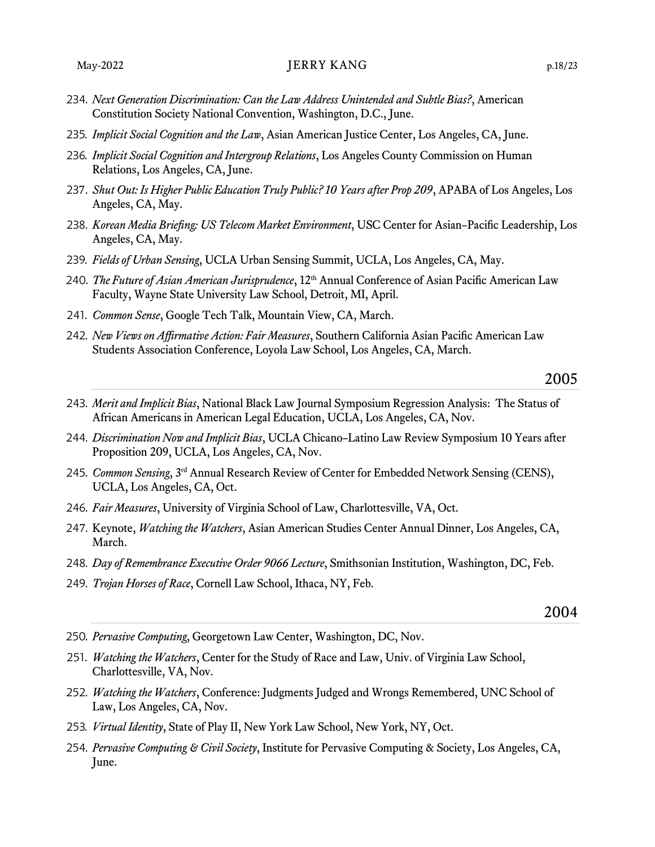- 234. *Next Generation Discrimination: Can the Law Address Unintended and Subtle Bias?*, American Constitution Society National Convention, Washington, D.C., June.
- 235. *Implicit Social Cognition and the Law*, Asian American Justice Center, Los Angeles, CA, June.
- 236. *Implicit Social Cognition and Intergroup Relations*, Los Angeles County Commission on Human Relations, Los Angeles, CA, June.
- 237. *Shut Out: Is Higher Public Education Truly Public? 10 Years after Prop 209*, APABA of Los Angeles, Los Angeles, CA, May.
- 238. *Korean Media Briefing: US Telecom Market Environment*, USC Center for Asian–Pacific Leadership, Los Angeles, CA, May.
- 239. *Fields of Urban Sensing*, UCLA Urban Sensing Summit, UCLA, Los Angeles, CA, May.
- 240. *The Future of Asian American Jurisprudence*, 12<sup>th</sup> Annual Conference of Asian Pacific American Law Faculty, Wayne State University Law School, Detroit, MI, April.
- 241. *Common Sense*, Google Tech Talk, Mountain View, CA, March.
- 242. *New Views on Affirmative Action: Fair Measures*, Southern California Asian Pacific American Law Students Association Conference, Loyola Law School, Los Angeles, CA, March.

- 243. *Merit and Implicit Bias*, National Black Law Journal Symposium Regression Analysis: The Status of African Americans in American Legal Education, UCLA, Los Angeles, CA, Nov.
- 244. *Discrimination Now and Implicit Bias*, UCLA Chicano–Latino Law Review Symposium 10 Years after Proposition 209, UCLA, Los Angeles, CA, Nov.
- 245. *Common Sensing*, 3rd Annual Research Review of Center for Embedded Network Sensing (CENS), UCLA, Los Angeles, CA, Oct.
- 246. *Fair Measures*, University of Virginia School of Law, Charlottesville, VA, Oct.
- 247. Keynote, *Watching the Watchers*, Asian American Studies Center Annual Dinner, Los Angeles, CA, March.
- 248. *Day of Remembrance Executive Order 9066 Lecture*, Smithsonian Institution, Washington, DC, Feb.
- 249. *Trojan Horses of Race*, Cornell Law School, Ithaca, NY, Feb.

- 250. *Pervasive Computing*, Georgetown Law Center, Washington, DC, Nov.
- 251. *Watching the Watchers*, Center for the Study of Race and Law, Univ. of Virginia Law School, Charlottesville, VA, Nov.
- 252. *Watching the Watchers*, Conference: Judgments Judged and Wrongs Remembered, UNC School of Law, Los Angeles, CA, Nov.
- 253. *Virtual Identity*, State of Play II, New York Law School, New York, NY, Oct.
- 254. *Pervasive Computing & Civil Society*, Institute for Pervasive Computing & Society, Los Angeles, CA, June.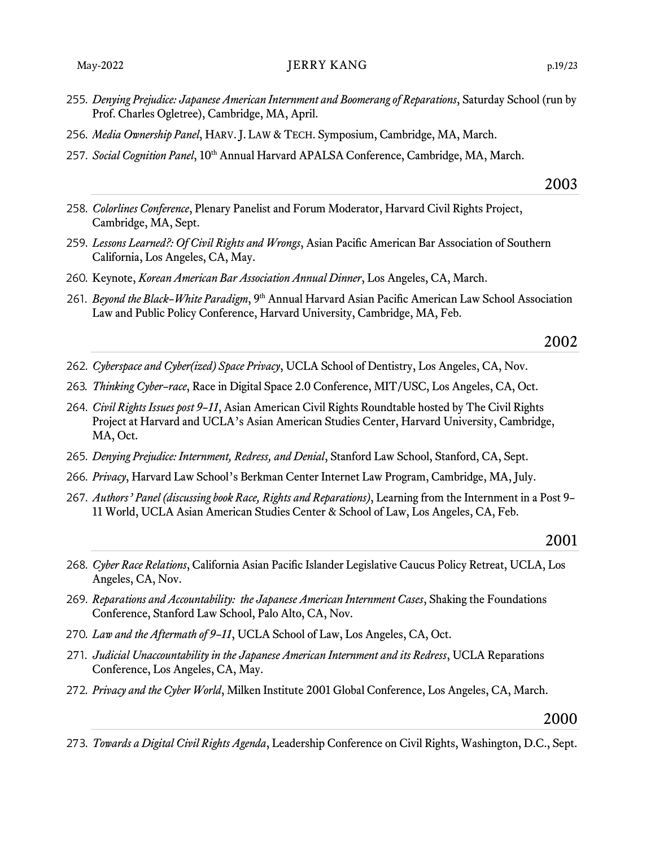- . *Denying Prejudice: Japanese American Internment and Boomerang of Reparations*, Saturday School (run by Prof. Charles Ogletree), Cambridge, MA, April.
- . *Media Ownership Panel*, HARV. J. LAW & TECH. Symposium, Cambridge, MA, March.
- 7. *Social Cognition Panel*, 10th Annual Harvard APALSA Conference, Cambridge, MA, March.
- . *Colorlines Conference*, Plenary Panelist and Forum Moderator, Harvard Civil Rights Project, Cambridge, MA, Sept.
- . *Lessons Learned?: Of Civil Rights and Wrongs*, Asian Pacific American Bar Association of Southern California, Los Angeles, CA, May.
- . Keynote, *Korean American Bar Association Annual Dinner*, Los Angeles, CA, March.
- . *Beyond the Black–White Paradigm*, 9th Annual Harvard Asian Pacific American Law School Association Law and Public Policy Conference, Harvard University, Cambridge, MA, Feb.

## 

- . *Cyberspace and Cyber(ized) Space Privacy*, UCLA School of Dentistry, Los Angeles, CA, Nov.
- . *Thinking Cyber–race*, Race in Digital Space 2.0 Conference, MIT/USC, Los Angeles, CA, Oct.
- . *Civil Rights Issues post 9–11*, Asian American Civil Rights Roundtable hosted by The Civil Rights Project at Harvard and UCLA's Asian American Studies Center, Harvard University, Cambridge, MA, Oct.
- . *Denying Prejudice: Internment, Redress, and Denial*, Stanford Law School, Stanford, CA, Sept.
- . *Privacy*, Harvard Law School's Berkman Center Internet Law Program, Cambridge, MA, July.
- 7. *Authors' Panel (discussing book Race, Rights and Reparations)*, Learning from the Internment in a Post 9– 11 World, UCLA Asian American Studies Center & School of Law, Los Angeles, CA, Feb.

#### 

- . *Cyber Race Relations*, California Asian Pacific Islander Legislative Caucus Policy Retreat, UCLA, Los Angeles, CA, Nov.
- . *Reparations and Accountability: the Japanese American Internment Cases*, Shaking the Foundations Conference, Stanford Law School, Palo Alto, CA, Nov.
- 70. *Law and the Aftermath of 9–11*, UCLA School of Law, Los Angeles, CA, Oct.
- 71. *Judicial Unaccountability in the Japanese American Internment and its Redress*, UCLA Reparations Conference, Los Angeles, CA, May.
- 72. *Privacy and the Cyber World*, Milken Institute 2001 Global Conference, Los Angeles, CA, March.

## 

73. *Towards a Digital Civil Rights Agenda*, Leadership Conference on Civil Rights, Washington, D.C., Sept.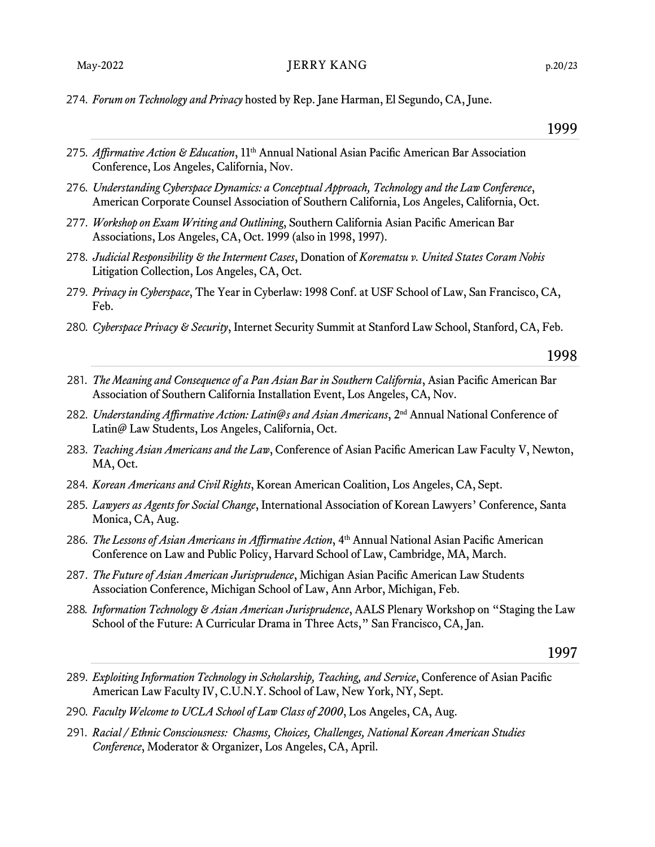#### May-2022 DERRY KANG p.20/23

274. *Forum on Technology and Privacy* hosted by Rep. Jane Harman, El Segundo, CA, June.

#### 1999

- 275. *Affirmative Action & Education*, 11<sup>th</sup> Annual National Asian Pacific American Bar Association Conference, Los Angeles, California, Nov.
- 276. *Understanding Cyberspace Dynamics: a Conceptual Approach, Technology and the Law Conference*, American Corporate Counsel Association of Southern California, Los Angeles, California, Oct.
- 277. *Workshop on Exam Writing and Outlining*, Southern California Asian Pacific American Bar Associations, Los Angeles, CA, Oct. 1999 (also in 1998, 1997).
- 278. *Judicial Responsibility & the Interment Cases*, Donation of *Korematsu v. United States Coram Nobis* Litigation Collection, Los Angeles, CA, Oct.
- 279. *Privacy in Cyberspace*, The Year in Cyberlaw: 1998 Conf. at USF School of Law, San Francisco, CA, Feb.
- 280. *Cyberspace Privacy & Security*, Internet Security Summit at Stanford Law School, Stanford, CA, Feb.

1998

- 281. *The Meaning and Consequence of a Pan Asian Bar in Southern California*, Asian Pacific American Bar Association of Southern California Installation Event, Los Angeles, CA, Nov.
- 282. *Understanding Affirmative Action: Latin@s and Asian Americans*, 2<sup>nd</sup> Annual National Conference of Latin@ Law Students, Los Angeles, California, Oct.
- 283. *Teaching Asian Americans and the Law*, Conference of Asian Pacific American Law Faculty V, Newton, MA, Oct.
- 284. *Korean Americans and Civil Rights*, Korean American Coalition, Los Angeles, CA, Sept.
- 285. *Lawyers as Agents for Social Change*, International Association of Korean Lawyers' Conference, Santa Monica, CA, Aug.
- 286. *The Lessons of Asian Americans in Affirmative Action*, 4th Annual National Asian Pacific American Conference on Law and Public Policy, Harvard School of Law, Cambridge, MA, March.
- 287. *The Future of Asian American Jurisprudence*, Michigan Asian Pacific American Law Students Association Conference, Michigan School of Law, Ann Arbor, Michigan, Feb.
- 288. *Information Technology & Asian American Jurisprudence*, AALS Plenary Workshop on "Staging the Law School of the Future: A Curricular Drama in Three Acts," San Francisco, CA, Jan.

- 289. *Exploiting Information Technology in Scholarship, Teaching, and Service*, Conference of Asian Pacific American Law Faculty IV, C.U.N.Y. School of Law, New York, NY, Sept.
- 290. *Faculty Welcome to UCLA School of Law Class of 2000*, Los Angeles, CA, Aug.
- 291. *Racial / Ethnic Consciousness: Chasms, Choices, Challenges, National Korean American Studies Conference*, Moderator & Organizer, Los Angeles, CA, April.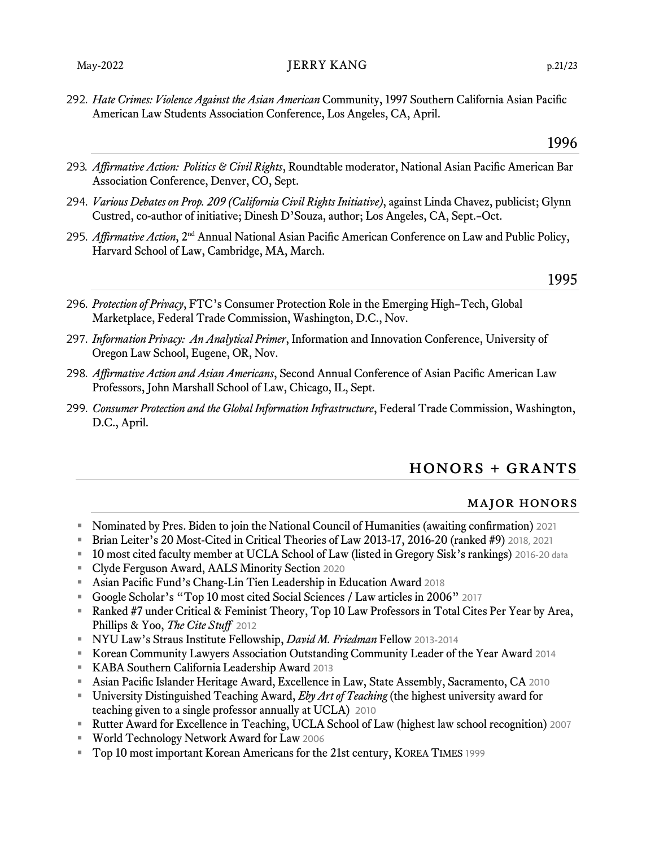292. *Hate Crimes: Violence Against the Asian American* Community, 1997 Southern California Asian Pacific American Law Students Association Conference, Los Angeles, CA, April.

- 293. *Affirmative Action: Politics & Civil Rights*, Roundtable moderator, National Asian Pacific American Bar Association Conference, Denver, CO, Sept.
- 294. *Various Debates on Prop. 209 (California Civil Rights Initiative)*, against Linda Chavez, publicist; Glynn Custred, co-author of initiative; Dinesh D'Souza, author; Los Angeles, CA, Sept.–Oct.
- 295. *Affirmative Action*, 2nd Annual National Asian Pacific American Conference on Law and Public Policy, Harvard School of Law, Cambridge, MA, March.

#### 1995

- 296. *Protection of Privacy*, FTC's Consumer Protection Role in the Emerging High–Tech, Global Marketplace, Federal Trade Commission, Washington, D.C., Nov.
- 297. *Information Privacy: An Analytical Primer*, Information and Innovation Conference, University of Oregon Law School, Eugene, OR, Nov.
- 298. *Affirmative Action and Asian Americans*, Second Annual Conference of Asian Pacific American Law Professors, John Marshall School of Law, Chicago, IL, Sept.
- 299. *Consumer Protection and the Global Information Infrastructure*, Federal Trade Commission, Washington, D.C., April.

## honors + grants

#### major honors

- Nominated by Pres. Biden to join the National Council of Humanities (awaiting confirmation) 2021
- **EXECT:** Brian Leiter's 20 Most-Cited in Critical Theories of Law 2013-17, 2016-20 (ranked #9) 2018, 2021
- **EXECUTE:** 10 most cited faculty member at UCLA School of Law (listed in Gregory Sisk's rankings) 2016-20 data
- Clyde Ferguson Award, AALS Minority Section 2020
- Asian Pacific Fund's Chang-Lin Tien Leadership in Education Award 2018
- Google Scholar's "Top 10 most cited Social Sciences / Law articles in 2006" 2017
- Ranked #7 under Critical & Feminist Theory, Top 10 Law Professors in Total Cites Per Year by Area, Phillips & Yoo, *The Cite Stuff* 2012
- NYU Law's Straus Institute Fellowship, *David M. Friedman* Fellow 2013-2014
- Korean Community Lawyers Association Outstanding Community Leader of the Year Award 2014
- KABA Southern California Leadership Award 2013
- Asian Pacific Islander Heritage Award, Excellence in Law, State Assembly, Sacramento, CA 2010
- University Distinguished Teaching Award, *Eby Art of Teaching* (the highest university award for teaching given to a single professor annually at UCLA) 2010
- Rutter Award for Excellence in Teaching, UCLA School of Law (highest law school recognition) 2007
- World Technology Network Award for Law 2006
- Top 10 most important Korean Americans for the 21st century, KOREA TIMES 1999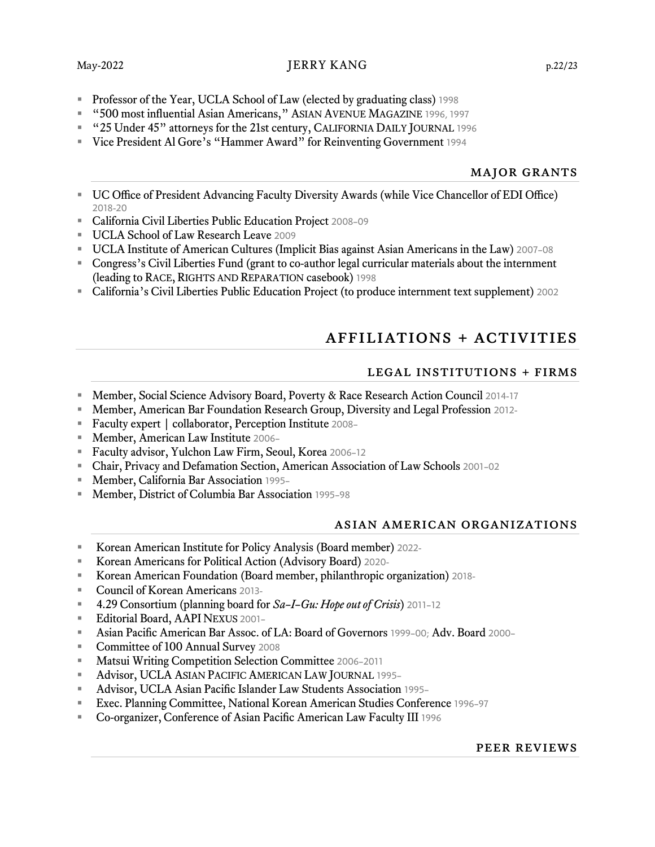### May-2022 DERRY KANG p.22/23

- **Professor of the Year, UCLA School of Law (elected by graduating class)** 1998
- "500 most influential Asian Americans," ASIAN AVENUE MAGAZINE 1996, 1997
- "25 Under 45" attorneys for the 21st century, CALIFORNIA DAILY JOURNAL 1996
- Vice President Al Gore's "Hammer Award" for Reinventing Government 1994

#### major grants

- UC Office of President Advancing Faculty Diversity Awards (while Vice Chancellor of EDI Office) 2018-20
- California Civil Liberties Public Education Project 2008–09
- **UCLA School of Law Research Leave 2009**
- UCLA Institute of American Cultures (Implicit Bias against Asian Americans in the Law) 2007–08
- Congress's Civil Liberties Fund (grant to co-author legal curricular materials about the internment (leading to RACE, RIGHTS AND REPARATION casebook) 1998
- California's Civil Liberties Public Education Project (to produce internment text supplement) 2002

## affiliations + activities

#### legal institutions + firms

- Member, Social Science Advisory Board, Poverty & Race Research Action Council 2014-17
- **EXECT** Member, American Bar Foundation Research Group, Diversity and Legal Profession 2012-
- Faculty expert | collaborator, Perception Institute 2008–
- Member, American Law Institute 2006–
- Faculty advisor, Yulchon Law Firm, Seoul, Korea 2006–12
- Chair, Privacy and Defamation Section, American Association of Law Schools 2001–02
- Member, California Bar Association 1995-
- Member, District of Columbia Bar Association 1995-98

#### asian american organizations

- Korean American Institute for Policy Analysis (Board member) 2022-
- Korean Americans for Political Action (Advisory Board) 2020-
- Korean American Foundation (Board member, philanthropic organization) 2018-
- Council of Korean Americans 2013-
- 4.29 Consortium (planning board for *Sa–I–Gu: Hope out of Crisis*) 2011-12
- **Editorial Board, AAPI NEXUS 2001-**
- Asian Pacific American Bar Assoc. of LA: Board of Governors 1999-00; Adv. Board 2000-
- Committee of 100 Annual Survey 2008
- Matsui Writing Competition Selection Committee 2006-2011
- Advisor, UCLA ASIAN PACIFIC AMERICAN LAW JOURNAL 1995-
- Advisor, UCLA Asian Pacific Islander Law Students Association 1995–
- Exec. Planning Committee, National Korean American Studies Conference 1996-97
- Co-organizer, Conference of Asian Pacific American Law Faculty III 1996